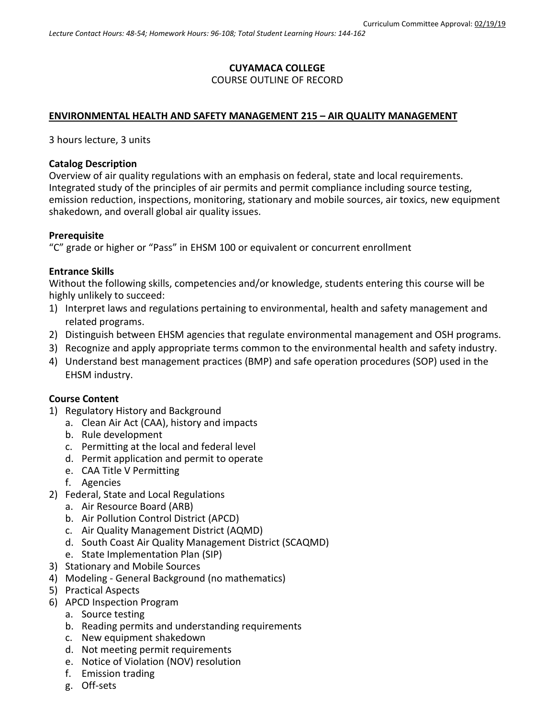# **CUYAMACA COLLEGE**

# COURSE OUTLINE OF RECORD

## **ENVIRONMENTAL HEALTH AND SAFETY MANAGEMENT 215 – AIR QUALITY MANAGEMENT**

3 hours lecture, 3 units

## **Catalog Description**

Overview of air quality regulations with an emphasis on federal, state and local requirements. Integrated study of the principles of air permits and permit compliance including source testing, emission reduction, inspections, monitoring, stationary and mobile sources, air toxics, new equipment shakedown, and overall global air quality issues.

## **Prerequisite**

"C" grade or higher or "Pass" in EHSM 100 or equivalent or concurrent enrollment

## **Entrance Skills**

Without the following skills, competencies and/or knowledge, students entering this course will be highly unlikely to succeed:

- 1) Interpret laws and regulations pertaining to environmental, health and safety management and related programs.
- 2) Distinguish between EHSM agencies that regulate environmental management and OSH programs.
- 3) Recognize and apply appropriate terms common to the environmental health and safety industry.
- 4) Understand best management practices (BMP) and safe operation procedures (SOP) used in the EHSM industry.

## **Course Content**

- 1) Regulatory History and Background
	- a. Clean Air Act (CAA), history and impacts
	- b. Rule development
	- c. Permitting at the local and federal level
	- d. Permit application and permit to operate
	- e. CAA Title V Permitting
	- f. Agencies
- 2) Federal, State and Local Regulations
	- a. Air Resource Board (ARB)
	- b. Air Pollution Control District (APCD)
	- c. Air Quality Management District (AQMD)
	- d. South Coast Air Quality Management District (SCAQMD)
	- e. State Implementation Plan (SIP)
- 3) Stationary and Mobile Sources
- 4) Modeling General Background (no mathematics)
- 5) Practical Aspects
- 6) APCD Inspection Program
	- a. Source testing
	- b. Reading permits and understanding requirements
	- c. New equipment shakedown
	- d. Not meeting permit requirements
	- e. Notice of Violation (NOV) resolution
	- f. Emission trading
	- g. Off-sets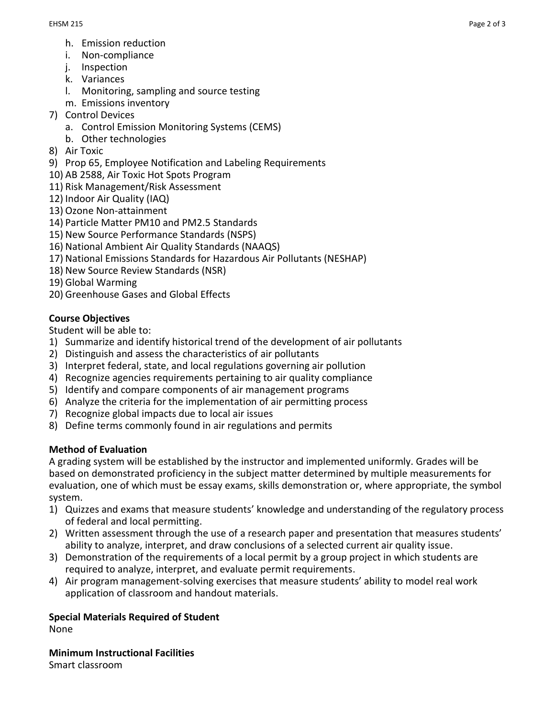- h. Emission reduction
- i. Non-compliance
- j. Inspection
- k. Variances
- l. Monitoring, sampling and source testing
- m. Emissions inventory
- 7) Control Devices
	- a. Control Emission Monitoring Systems (CEMS)
	- b. Other technologies
- 8) Air Toxic
- 9) Prop 65, Employee Notification and Labeling Requirements
- 10) AB 2588, Air Toxic Hot Spots Program
- 11) Risk Management/Risk Assessment
- 12) Indoor Air Quality (IAQ)
- 13) Ozone Non-attainment
- 14) Particle Matter PM10 and PM2.5 Standards
- 15) New Source Performance Standards (NSPS)
- 16) National Ambient Air Quality Standards (NAAQS)
- 17) National Emissions Standards for Hazardous Air Pollutants (NESHAP)
- 18) New Source Review Standards (NSR)
- 19) Global Warming
- 20) Greenhouse Gases and Global Effects

# **Course Objectives**

Student will be able to:

- 1) Summarize and identify historical trend of the development of air pollutants
- 2) Distinguish and assess the characteristics of air pollutants
- 3) Interpret federal, state, and local regulations governing air pollution
- 4) Recognize agencies requirements pertaining to air quality compliance
- 5) Identify and compare components of air management programs
- 6) Analyze the criteria for the implementation of air permitting process
- 7) Recognize global impacts due to local air issues
- 8) Define terms commonly found in air regulations and permits

## **Method of Evaluation**

A grading system will be established by the instructor and implemented uniformly. Grades will be based on demonstrated proficiency in the subject matter determined by multiple measurements for evaluation, one of which must be essay exams, skills demonstration or, where appropriate, the symbol system.

- 1) Quizzes and exams that measure students' knowledge and understanding of the regulatory process of federal and local permitting.
- 2) Written assessment through the use of a research paper and presentation that measures students' ability to analyze, interpret, and draw conclusions of a selected current air quality issue.
- 3) Demonstration of the requirements of a local permit by a group project in which students are required to analyze, interpret, and evaluate permit requirements.
- 4) Air program management-solving exercises that measure students' ability to model real work application of classroom and handout materials.

**Special Materials Required of Student** None

**Minimum Instructional Facilities** Smart classroom